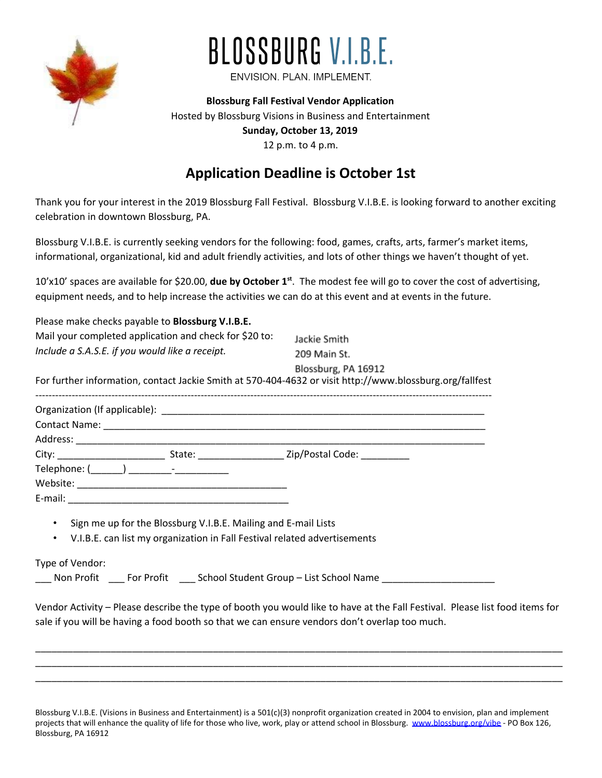

## BLOSSBURG V.I.B.E.

ENVISION. PLAN. IMPLEMENT.

**Blossburg Fall Festival Vendor Application** Hosted by Blossburg Visions in Business and Entertainment **Sunday, October 13, 2019** 12 p.m. to 4 p.m.

## **Application Deadline is October 1st**

Thank you for your interest in the 2019 Blossburg Fall Festival. Blossburg V.I.B.E. is looking forward to another exciting celebration in downtown Blossburg, PA.

Blossburg V.I.B.E. is currently seeking vendors for the following: food, games, crafts, arts, farmer's market items, informational, organizational, kid and adult friendly activities, and lots of other things we haven't thought of yet.

10'x10' spaces are available for \$20.00, **due by October 1 st** . The modest fee will go to cover the cost of advertising, equipment needs, and to help increase the activities we can do at this event and at events in the future.

| Please make checks payable to <b>Blossburg V.I.B.E.</b>                                                                                                    |                     |
|------------------------------------------------------------------------------------------------------------------------------------------------------------|---------------------|
| Mail your completed application and check for \$20 to:                                                                                                     | Jackie Smith        |
| Include a S.A.S.E. if you would like a receipt.                                                                                                            | 209 Main St.        |
| For further information, contact Jackie Smith at 570-404-4632 or visit http://www.blossburg.org/fallfest                                                   | Blossburg, PA 16912 |
|                                                                                                                                                            |                     |
|                                                                                                                                                            |                     |
|                                                                                                                                                            |                     |
| City: _________________________________State: __________________________Zip/Postal Code: ___________                                                       |                     |
|                                                                                                                                                            |                     |
|                                                                                                                                                            |                     |
|                                                                                                                                                            |                     |
| • Sign me up for the Blossburg V.I.B.E. Mailing and E-mail Lists<br>V.I.B.E. can list my organization in Fall Festival related advertisements<br>$\bullet$ |                     |
| Type of Vendor:                                                                                                                                            |                     |

\_Non Profit \_\_\_\_ For Profit \_\_\_\_ School Student Group – List School Name

Vendor Activity – Please describe the type of booth you would like to have at the Fall Festival. Please list food items for sale if you will be having a food booth so that we can ensure vendors don't overlap too much.

\_\_\_\_\_\_\_\_\_\_\_\_\_\_\_\_\_\_\_\_\_\_\_\_\_\_\_\_\_\_\_\_\_\_\_\_\_\_\_\_\_\_\_\_\_\_\_\_\_\_\_\_\_\_\_\_\_\_\_\_\_\_\_\_\_\_\_\_\_\_\_\_\_\_\_\_\_\_\_\_\_\_\_\_\_\_\_\_\_\_\_\_\_\_\_\_\_\_ \_\_\_\_\_\_\_\_\_\_\_\_\_\_\_\_\_\_\_\_\_\_\_\_\_\_\_\_\_\_\_\_\_\_\_\_\_\_\_\_\_\_\_\_\_\_\_\_\_\_\_\_\_\_\_\_\_\_\_\_\_\_\_\_\_\_\_\_\_\_\_\_\_\_\_\_\_\_\_\_\_\_\_\_\_\_\_\_\_\_\_\_\_\_\_\_\_\_ \_\_\_\_\_\_\_\_\_\_\_\_\_\_\_\_\_\_\_\_\_\_\_\_\_\_\_\_\_\_\_\_\_\_\_\_\_\_\_\_\_\_\_\_\_\_\_\_\_\_\_\_\_\_\_\_\_\_\_\_\_\_\_\_\_\_\_\_\_\_\_\_\_\_\_\_\_\_\_\_\_\_\_\_\_\_\_\_\_\_\_\_\_\_\_\_\_\_

Blossburg V.I.B.E. (Visions in Business and Entertainment) is a 501(c)(3) nonprofit organization created in 2004 to envision, plan and implement projects that will enhance the quality of life for those who live, work, play or attend school in Blossburg. [www.blossburg.org/vibe](http://www.blossburg.org/vibe) - PO Box 126, Blossburg, PA 16912